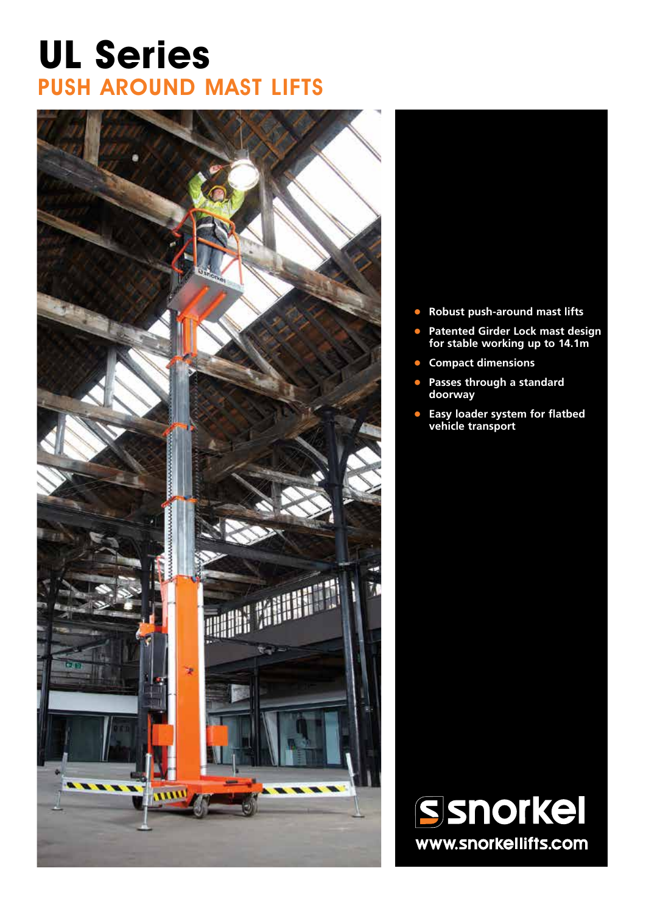# **UL Series** PUSH AROUND MAST LIFTS



- **• Robust push-around mast lifts**
- **• Patented Girder Lock mast design for stable working up to 14.1m**
- **• Compact dimensions**
- **• Passes through a standard doorway**
- **• Easy loader system for flatbed vehicle transport**